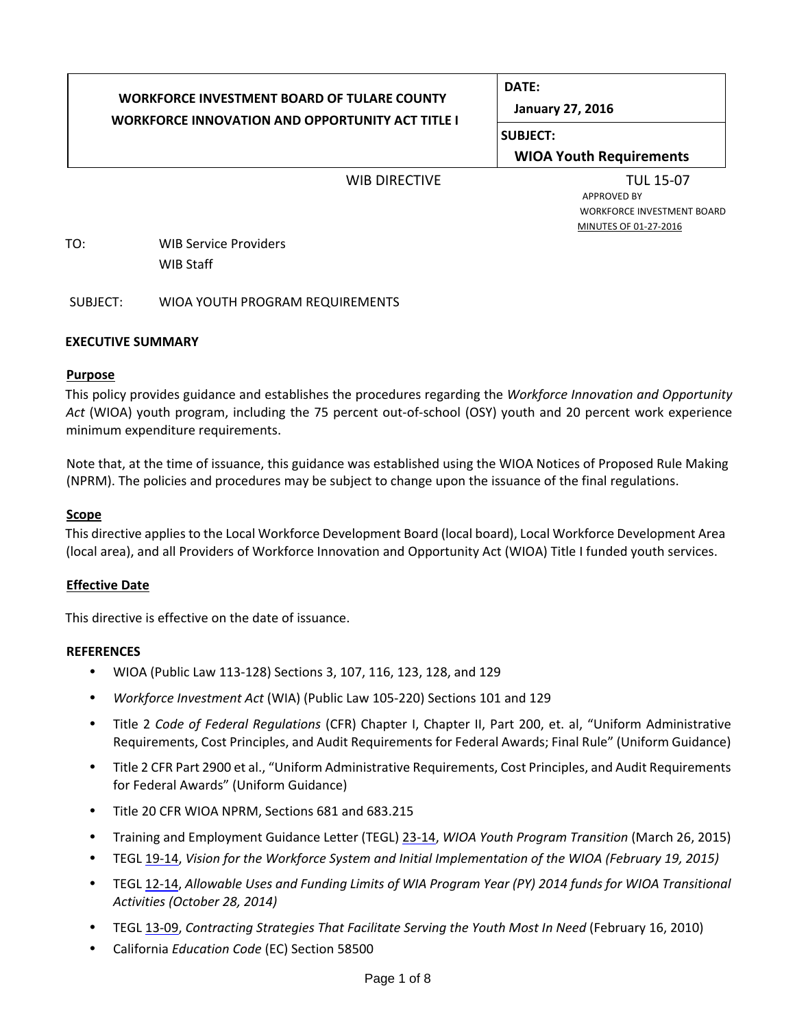# **WORKFORCE INVESTMENT BOARD OF TULARE COUNTY WORKFORCE INNOVATION AND OPPORTUNITY ACT TITLE I**

**DATE:**

**January 27, 2016**

**SUBJECT:**

**WIOA Youth Requirements**

WIB DIRECTIVE TUL 15-07<br>APPROVED BY WORKFORCE INVESTMENT BOARD MINUTES OF 01‐27‐2016

TO: WIB Service Providers WIB Staff

SUBJECT: WIOA YOUTH PROGRAM REQUIREMENTS

### **EXECUTIVE SUMMARY**

#### **Purpose**

This policy provides guidance and establishes the procedures regarding the *Workforce Innovation and Opportunity* Act (WIOA) youth program, including the 75 percent out-of-school (OSY) youth and 20 percent work experience minimum expenditure requirements.

Note that, at the time of issuance, this guidance was established using the WIOA Notices of Proposed Rule Making (NPRM). The policies and procedures may be subject to change upon the issuance of the final regulations.

#### **Scope**

This directive applies to the Local Workforce Development Board (local board), Local Workforce Development Area (local area), and all Providers of Workforce Innovation and Opportunity Act (WIOA) Title I funded youth services.

### **Effective Date**

This directive is effective on the date of issuance.

#### **REFERENCES**

- WIOA (Public Law 113‐128) Sections 3, 107, 116, 123, 128, and 129
- *Workforce Investment Act* (WIA) (Public Law 105‐220) Sections 101 and 129
- Title 2 *Code of Federal Regulations* (CFR) Chapter I, Chapter II, Part 200, et. al, "Uniform Administrative Requirements, Cost Principles, and Audit Requirements for Federal Awards; Final Rule" (Uniform Guidance)
- Title 2 CFR Part 2900 et al., "Uniform Administrative Requirements, Cost Principles, and Audit Requirements for Federal Awards" (Uniform Guidance)
- Title 20 CFR WIOA NPRM, Sections 681 and 683.215
- Training and Employment Guidance Letter (TEGL) 23‐14, *WIOA Youth Program Transition* (March 26, 2015)
- TEGL 19‐14, *Vision for the Workforce System and Initial Implementation of the WIOA (February 19, 2015)*
- TEGL 12‐14, *Allowable Uses and Funding Limits of WIA Program Year (PY) 2014 funds for WIOA Transitional Activities (October 28, 2014)*
- TEGL 13‐09, *Contracting Strategies That Facilitate Serving the Youth Most In Need* (February 16, 2010)
- California *Education Code* (EC) Section 58500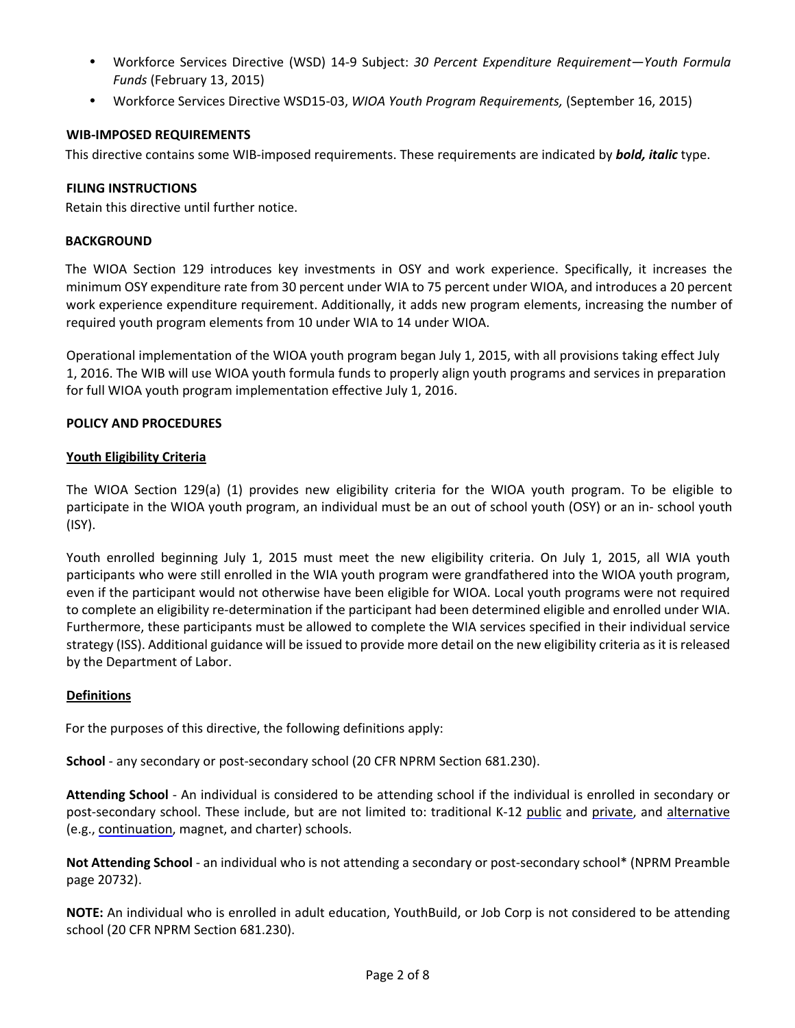- Workforce Services Directive (WSD) 14‐9 Subject: *30 Percent Expenditure Requirement—Youth Formula Funds* (February 13, 2015)
- Workforce Services Directive WSD15‐03, *WIOA Youth Program Requirements,* (September 16, 2015)

#### **WIB‐IMPOSED REQUIREMENTS**

This directive contains some WIB‐imposed requirements. These requirements are indicated by *bold, italic* type.

#### **FILING INSTRUCTIONS**

Retain this directive until further notice.

#### **BACKGROUND**

The WIOA Section 129 introduces key investments in OSY and work experience. Specifically, it increases the minimum OSY expenditure rate from 30 percent under WIA to 75 percent under WIOA, and introduces a 20 percent work experience expenditure requirement. Additionally, it adds new program elements, increasing the number of required youth program elements from 10 under WIA to 14 under WIOA.

Operational implementation of the WIOA youth program began July 1, 2015, with all provisions taking effect July 1, 2016. The WIB will use WIOA youth formula funds to properly align youth programs and services in preparation for full WIOA youth program implementation effective July 1, 2016.

#### **POLICY AND PROCEDURES**

#### **Youth Eligibility Criteria**

The WIOA Section 129(a) (1) provides new eligibility criteria for the WIOA youth program. To be eligible to participate in the WIOA youth program, an individual must be an out of school youth (OSY) or an in‐ school youth (ISY).

Youth enrolled beginning July 1, 2015 must meet the new eligibility criteria. On July 1, 2015, all WIA youth participants who were still enrolled in the WIA youth program were grandfathered into the WIOA youth program, even if the participant would not otherwise have been eligible for WIOA. Local youth programs were not required to complete an eligibility re‐determination if the participant had been determined eligible and enrolled under WIA. Furthermore, these participants must be allowed to complete the WIA services specified in their individual service strategy (ISS). Additional guidance will be issued to provide more detail on the new eligibility criteria as it is released by the Department of Labor.

#### **Definitions**

For the purposes of this directive, the following definitions apply:

**School** ‐ any secondary or post‐secondary school (20 CFR NPRM Section 681.230).

**Attending School** ‐ An individual is considered to be attending school if the individual is enrolled in secondary or post-secondary school. These include, but are not limited to: traditional K-12 public and private, and alternative (e.g., continuation, magnet, and charter) schools.

**Not Attending School** ‐ an individual who is not attending a secondary or post‐secondary school\* (NPRM Preamble page 20732).

**NOTE:** An individual who is enrolled in adult education, YouthBuild, or Job Corp is not considered to be attending school (20 CFR NPRM Section 681.230).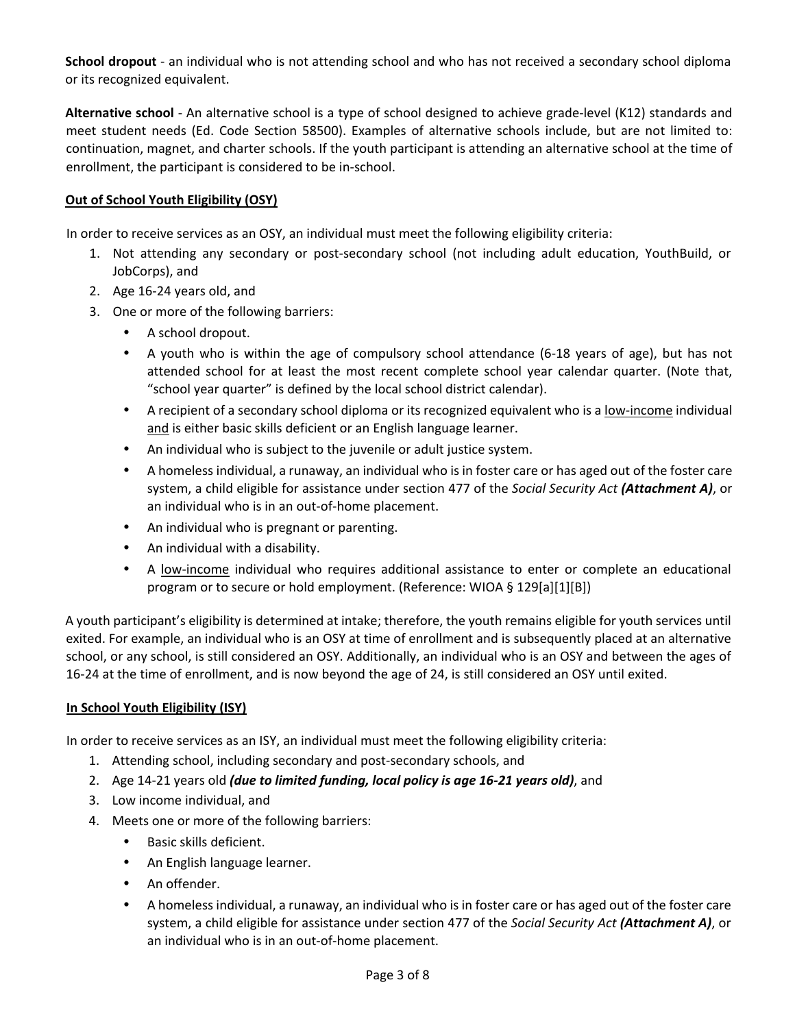**School dropout** ‐ an individual who is not attending school and who has not received a secondary school diploma or its recognized equivalent.

**Alternative school** ‐ An alternative school is a type of school designed to achieve grade‐level (K12) standards and meet student needs (Ed. Code Section 58500). Examples of alternative schools include, but are not limited to: continuation, magnet, and charter schools. If the youth participant is attending an alternative school at the time of enrollment, the participant is considered to be in‐school.

#### **Out of School Youth Eligibility (OSY)**

In order to receive services as an OSY, an individual must meet the following eligibility criteria:

- 1. Not attending any secondary or post‐secondary school (not including adult education, YouthBuild, or JobCorps), and
- 2. Age 16‐24 years old, and
- 3. One or more of the following barriers:
	- A school dropout.
	- A youth who is within the age of compulsory school attendance (6‐18 years of age), but has not attended school for at least the most recent complete school year calendar quarter. (Note that, "school year quarter" is defined by the local school district calendar).
	- A recipient of a secondary school diploma or its recognized equivalent who is a low‐income individual and is either basic skills deficient or an English language learner.
	- An individual who is subject to the juvenile or adult justice system.
	- A homeless individual, a runaway, an individual who is in foster care or has aged out of the foster care system, a child eligible for assistance under section 477 of the *Social Security Act (Attachment A)*, or an individual who is in an out‐of‐home placement.
	- An individual who is pregnant or parenting.
	- An individual with a disability.
	- A low-income individual who requires additional assistance to enter or complete an educational program or to secure or hold employment. (Reference: WIOA § 129[a][1][B])

A youth participant's eligibility is determined at intake; therefore, the youth remains eligible for youth services until exited. For example, an individual who is an OSY at time of enrollment and is subsequently placed at an alternative school, or any school, is still considered an OSY. Additionally, an individual who is an OSY and between the ages of 16-24 at the time of enrollment, and is now beyond the age of 24, is still considered an OSY until exited.

#### **In School Youth Eligibility (ISY)**

In order to receive services as an ISY, an individual must meet the following eligibility criteria:

- 1. Attending school, including secondary and post‐secondary schools, and
- 2. Age 14‐21 years old *(due to limited funding, local policy is age 16‐21 years old)*, and
- 3. Low income individual, and
- 4. Meets one or more of the following barriers:
	- Basic skills deficient.
	- An English language learner.
	- An offender.
	- A homeless individual, a runaway, an individual who is in foster care or has aged out of the foster care system, a child eligible for assistance under section 477 of the *Social Security Act (Attachment A)*, or an individual who is in an out‐of‐home placement.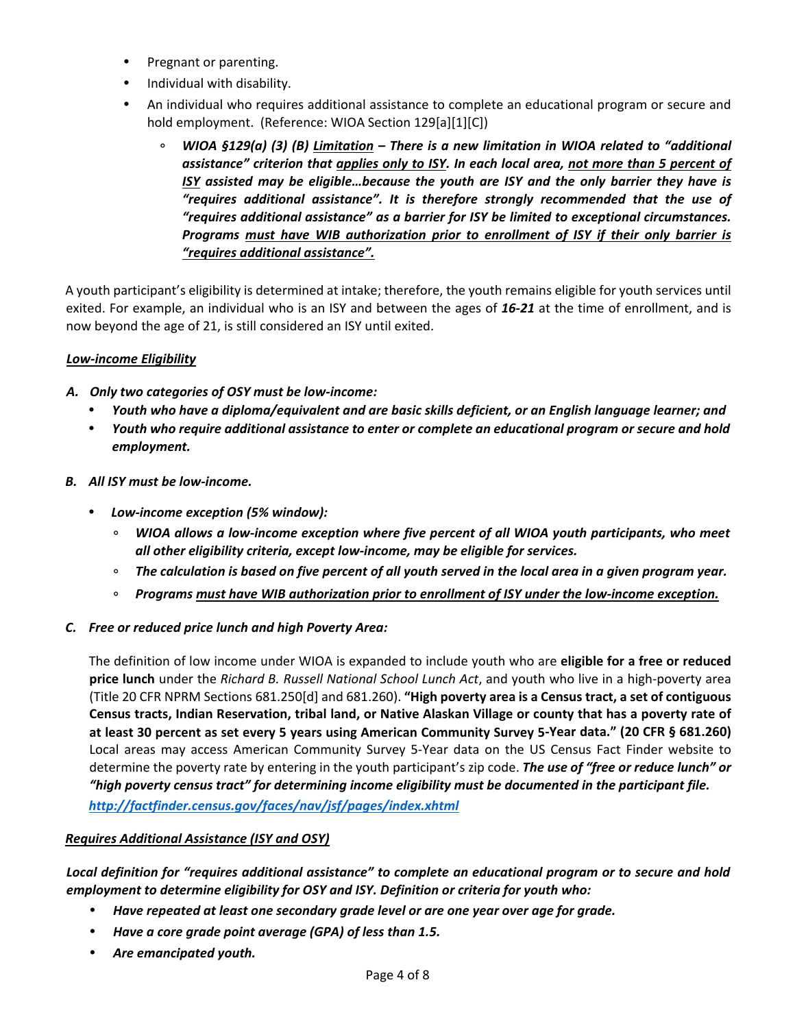- Pregnant or parenting.
- Individual with disability.
- An individual who requires additional assistance to complete an educational program or secure and hold employment. (Reference: WIOA Section 129[a][1][C])
	- ∘ *WIOA §129(a) (3) (B) Limitation – There is a new limitation in WIOA related to "additional assistance" criterion that applies only to ISY. In each local area, not more than 5 percent of ISY assisted may be eligible…because the youth are ISY and the only barrier they have is "requires additional assistance". It is therefore strongly recommended that the use of "requires additional assistance" as a barrier for ISY be limited to exceptional circumstances. Programs must have WIB authorization prior to enrollment of ISY if their only barrier is "requires additional assistance".*

A youth participant's eligibility is determined at intake; therefore, the youth remains eligible for youth services until exited. For example, an individual who is an ISY and between the ages of *16‐21* at the time of enrollment, and is now beyond the age of 21, is still considered an ISY until exited.

# *Low‐income Eligibility*

- *A. Only two categories of OSY must be low‐income:*
	- Youth who have a diploma/equivalent and are basic skills deficient, or an English language learner; and
	- *Youth who require additional assistance to enter or complete an educational program or secure and hold employment.*
- *B. All ISY must be low‐income.*
	- *Low‐income exception (5% window):*
		- ∘ *WIOA allows a low‐income exception where five percent of all WIOA youth participants, who meet all other eligibility criteria, except low‐income, may be eligible for services.*
		- The calculation is based on five percent of all youth served in the local area in a given program year.
		- ∘ *Programs must have WIB authorization prior to enrollment of ISY under the low‐income exception.*

### *C. Free or reduced price lunch and high Poverty Area:*

The definition of low income under WIOA is expanded to include youth who are **eligible for a free or reduced price lunch** under the *Richard B. Russell National School Lunch Act*, and youth who live in a high‐poverty area (Title 20 CFR NPRM Sections 681.250[d] and 681.260). **"High poverty area is a Census tract, a set of contiguous** Census tracts, Indian Reservation, tribal land, or Native Alaskan Village or county that has a poverty rate of at least 30 percent as set every 5 years using American Community Survey 5-Year data." (20 CFR § 681.260) Local areas may access American Community Survey 5‐Year data on the US Census Fact Finder website to determine the poverty rate by entering in the youth participant's zip code. *The use of "free or reduce lunch" or "high poverty census tract" for determining income eligibility must be documented in the participant file. http://factfinder.census.gov/faces/nav/jsf/pages/index.xhtml*

### *Requires Additional Assistance (ISY and OSY)*

*Local definition for "requires additional assistance" to complete an educational program or to secure and hold employment to determine eligibility for OSY and ISY. Definition or criteria for youth who:* 

- *Have repeated at least one secondary grade level or are one year over age for grade.*
- *Have a core grade point average (GPA) of less than 1.5.*
- *Are emancipated youth.*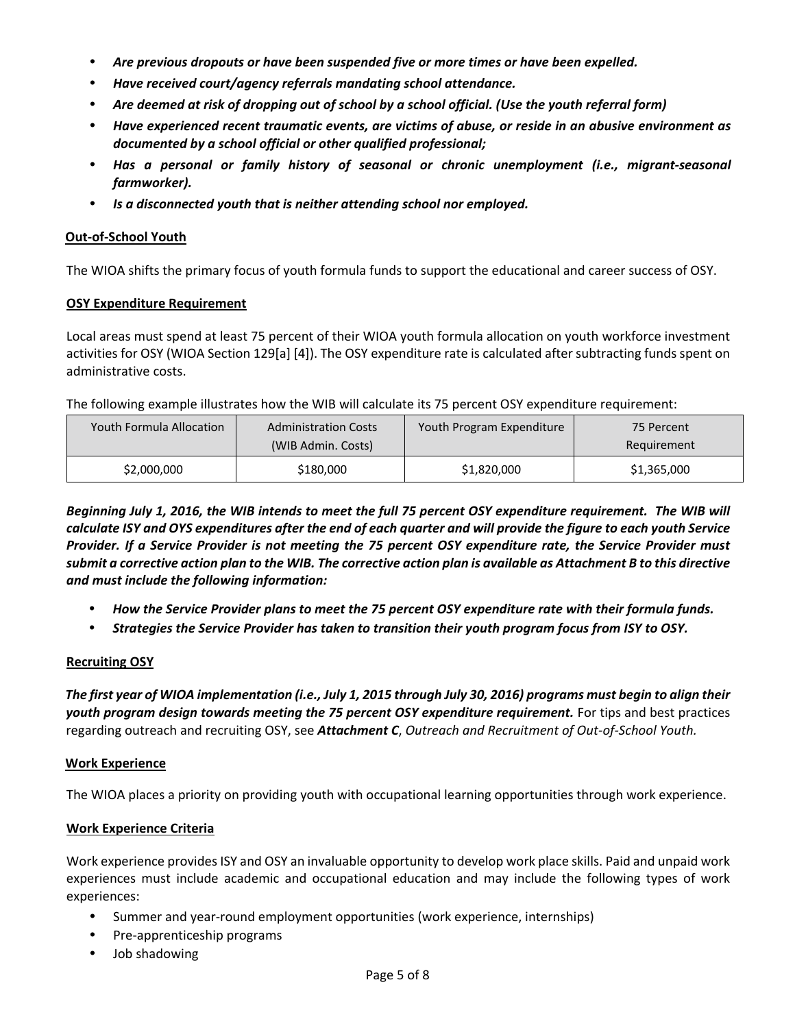- *Are previous dropouts or have been suspended five or more times or have been expelled.*
- *Have received court/agency referrals mandating school attendance.*
- Are deemed at risk of dropping out of school by a school official. (Use the youth referral form)
- *Have experienced recent traumatic events, are victims of abuse, or reside in an abusive environment as documented by a school official or other qualified professional;*
- *Has a personal or family history of seasonal or chronic unemployment (i.e., migrant‐seasonal farmworker).*
- *Is a disconnected youth that is neither attending school nor employed.*

#### **Out‐of‐School Youth**

The WIOA shifts the primary focus of youth formula funds to support the educational and career success of OSY.

#### **OSY Expenditure Requirement**

Local areas must spend at least 75 percent of their WIOA youth formula allocation on youth workforce investment activities for OSY (WIOA Section 129[a] [4]). The OSY expenditure rate is calculated after subtracting funds spent on administrative costs.

The following example illustrates how the WIB will calculate its 75 percent OSY expenditure requirement:

| <b>Youth Formula Allocation</b> | <b>Administration Costs</b><br>(WIB Admin. Costs) | Youth Program Expenditure | 75 Percent<br>Requirement |
|---------------------------------|---------------------------------------------------|---------------------------|---------------------------|
| \$2,000,000                     | \$180,000                                         | \$1,820,000               | \$1,365,000               |

Beginning July 1, 2016, the WIB intends to meet the full 75 percent OSY expenditure requirement. The WIB will calculate ISY and OYS expenditures after the end of each quarter and will provide the figure to each youth Service Provider. If a Service Provider is not meeting the 75 percent OSY expenditure rate, the Service Provider must submit a corrective action plan to the WIB. The corrective action plan is available as Attachment B to this directive *and must include the following information:*

- How the Service Provider plans to meet the 75 percent OSY expenditure rate with their formula funds.
- *Strategies the Service Provider has taken to transition their youth program focus from ISY to OSY.*

#### **Recruiting OSY**

The first year of WIOA implementation (i.e., July 1, 2015 through July 30, 2016) programs must begin to align their *youth program design towards meeting the 75 percent OSY expenditure requirement.* For tips and best practices regarding outreach and recruiting OSY, see *Attachment C*, *Outreach and Recruitment of Out‐of‐School Youth.*

#### **Work Experience**

The WIOA places a priority on providing youth with occupational learning opportunities through work experience.

#### **Work Experience Criteria**

Work experience provides ISY and OSY an invaluable opportunity to develop work place skills. Paid and unpaid work experiences must include academic and occupational education and may include the following types of work experiences:

- Summer and year‐round employment opportunities (work experience, internships)
- Pre‐apprenticeship programs
- Job shadowing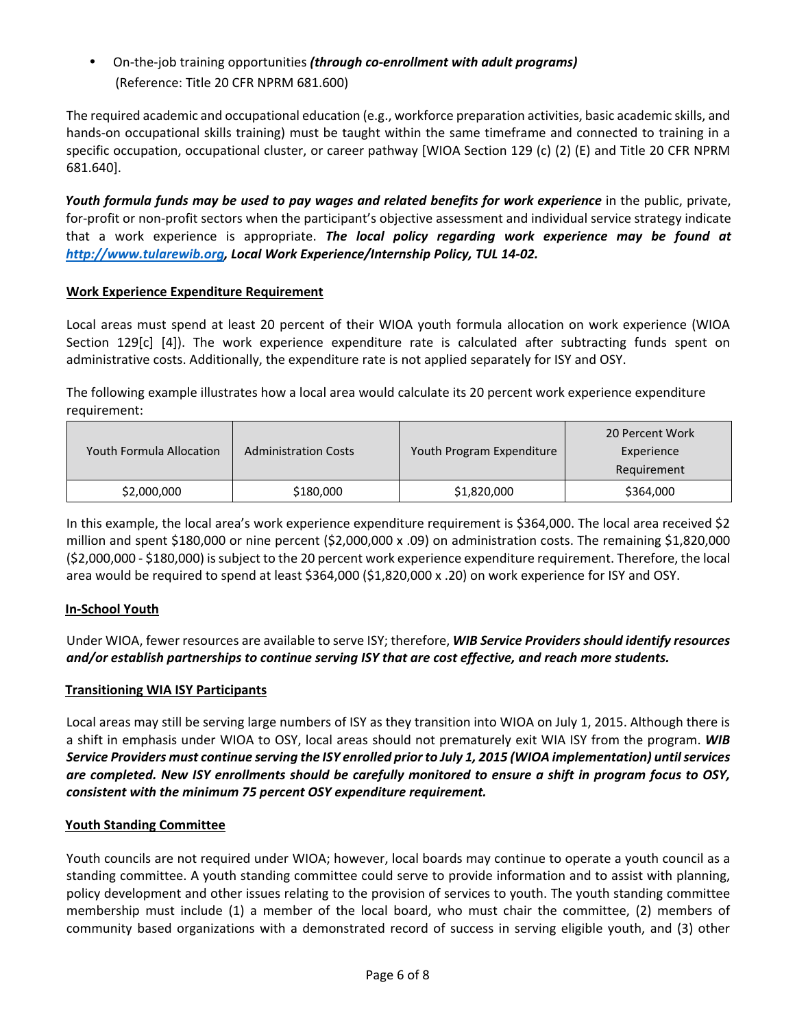• On‐the‐job training opportunities *(through co‐enrollment with adult programs)*  (Reference: Title 20 CFR NPRM 681.600)

The required academic and occupational education (e.g., workforce preparation activities, basic academic skills, and hands-on occupational skills training) must be taught within the same timeframe and connected to training in a specific occupation, occupational cluster, or career pathway [WIOA Section 129 (c) (2) (E) and Title 20 CFR NPRM 681.640].

*Youth formula funds may be used to pay wages and related benefits for work experience* in the public, private, for-profit or non-profit sectors when the participant's objective assessment and individual service strategy indicate that a work experience is appropriate. *The local policy regarding work experience may be found at http://www.tularewib.org, Local Work Experience/Internship Policy, TUL 14‐02.* 

### **Work Experience Expenditure Requirement**

Local areas must spend at least 20 percent of their WIOA youth formula allocation on work experience (WIOA Section 129[c] [4]). The work experience expenditure rate is calculated after subtracting funds spent on administrative costs. Additionally, the expenditure rate is not applied separately for ISY and OSY.

The following example illustrates how a local area would calculate its 20 percent work experience expenditure requirement:

| <b>Youth Formula Allocation</b> | <b>Administration Costs</b> | Youth Program Expenditure | 20 Percent Work<br>Experience<br>Requirement |
|---------------------------------|-----------------------------|---------------------------|----------------------------------------------|
| \$2,000,000                     | \$180,000                   | \$1,820,000               | \$364,000                                    |

In this example, the local area's work experience expenditure requirement is \$364,000. The local area received \$2 million and spent \$180,000 or nine percent (\$2,000,000 x .09) on administration costs. The remaining \$1,820,000 (\$2,000,000 ‐ \$180,000) issubject to the 20 percent work experience expenditure requirement. Therefore, the local area would be required to spend at least \$364,000 (\$1,820,000 x .20) on work experience for ISY and OSY.

#### **In‐School Youth**

Under WIOA, fewer resources are available to serve ISY; therefore, *WIB Service Providers should identify resources and/or establish partnerships to continue serving ISY that are cost effective, and reach more students.* 

#### **Transitioning WIA ISY Participants**

Local areas may still be serving large numbers of ISY as they transition into WIOA on July 1, 2015. Although there is a shift in emphasis under WIOA to OSY, local areas should not prematurely exit WIA ISY from the program. *WIB* Service Providers must continue serving the ISY enrolled prior to July 1, 2015 (WIOA implementation) until services are completed. New ISY enrollments should be carefully monitored to ensure a shift in program focus to OSY, *consistent with the minimum 75 percent OSY expenditure requirement.*

#### **Youth Standing Committee**

Youth councils are not required under WIOA; however, local boards may continue to operate a youth council as a standing committee. A youth standing committee could serve to provide information and to assist with planning, policy development and other issues relating to the provision of services to youth. The youth standing committee membership must include (1) a member of the local board, who must chair the committee, (2) members of community based organizations with a demonstrated record of success in serving eligible youth, and (3) other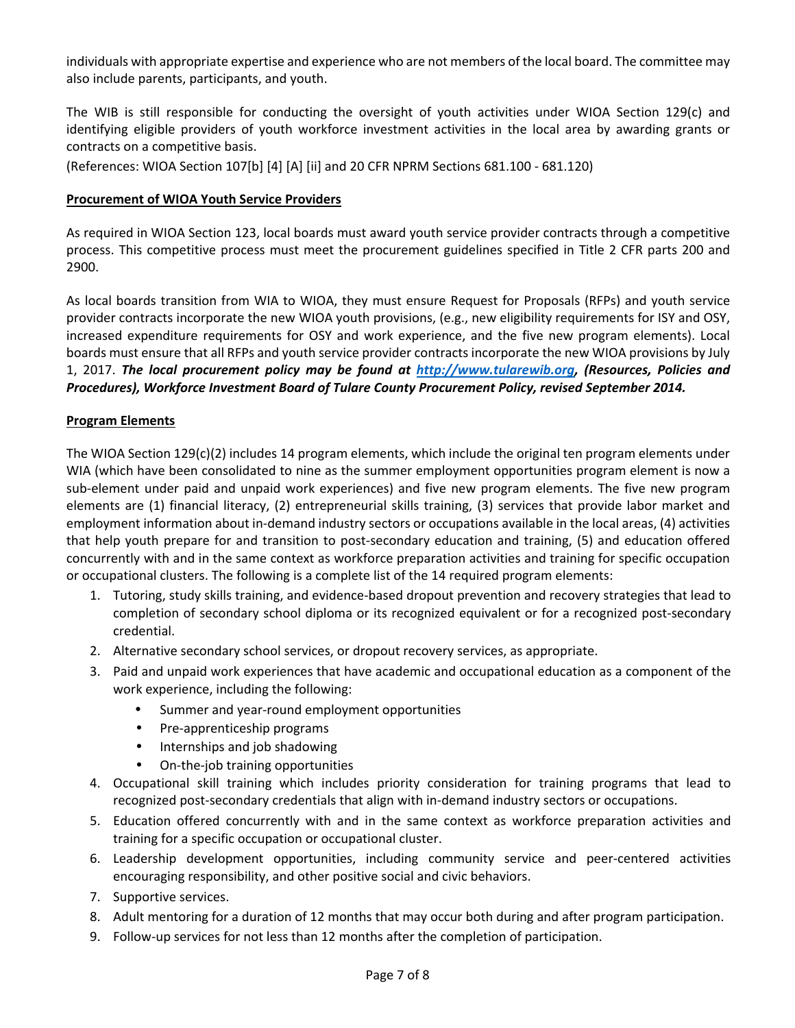individuals with appropriate expertise and experience who are not members of the local board. The committee may also include parents, participants, and youth.

The WIB is still responsible for conducting the oversight of youth activities under WIOA Section 129(c) and identifying eligible providers of youth workforce investment activities in the local area by awarding grants or contracts on a competitive basis.

(References: WIOA Section 107[b] [4] [A] [ii] and 20 CFR NPRM Sections 681.100 ‐ 681.120)

#### **Procurement of WIOA Youth Service Providers**

As required in WIOA Section 123, local boards must award youth service provider contracts through a competitive process. This competitive process must meet the procurement guidelines specified in Title 2 CFR parts 200 and 2900.

As local boards transition from WIA to WIOA, they must ensure Request for Proposals (RFPs) and youth service provider contracts incorporate the new WIOA youth provisions, (e.g., new eligibility requirements for ISY and OSY, increased expenditure requirements for OSY and work experience, and the five new program elements). Local boards must ensure that all RFPs and youth service provider contracts incorporate the new WIOA provisions by July 1, 2017. *The local procurement policy may be found at http://www.tularewib.org, (Resources, Policies and Procedures), Workforce Investment Board of Tulare County Procurement Policy, revised September 2014.*

#### **Program Elements**

The WIOA Section 129(c)(2) includes 14 program elements, which include the original ten program elements under WIA (which have been consolidated to nine as the summer employment opportunities program element is now a sub‐element under paid and unpaid work experiences) and five new program elements. The five new program elements are (1) financial literacy, (2) entrepreneurial skills training, (3) services that provide labor market and employment information about in‐demand industry sectors or occupations available in the local areas, (4) activities that help youth prepare for and transition to post‐secondary education and training, (5) and education offered concurrently with and in the same context as workforce preparation activities and training for specific occupation or occupational clusters. The following is a complete list of the 14 required program elements:

- 1. Tutoring, study skills training, and evidence‐based dropout prevention and recovery strategies that lead to completion of secondary school diploma or its recognized equivalent or for a recognized post‐secondary credential.
- 2. Alternative secondary school services, or dropout recovery services, as appropriate.
- 3. Paid and unpaid work experiences that have academic and occupational education as a component of the work experience, including the following:
	- Summer and year‐round employment opportunities
	- Pre-apprenticeship programs
	- Internships and job shadowing
	- On‐the‐job training opportunities
- 4. Occupational skill training which includes priority consideration for training programs that lead to recognized post‐secondary credentials that align with in‐demand industry sectors or occupations.
- 5. Education offered concurrently with and in the same context as workforce preparation activities and training for a specific occupation or occupational cluster.
- 6. Leadership development opportunities, including community service and peer‐centered activities encouraging responsibility, and other positive social and civic behaviors.
- 7. Supportive services.
- 8. Adult mentoring for a duration of 12 months that may occur both during and after program participation.
- 9. Follow‐up services for not less than 12 months after the completion of participation.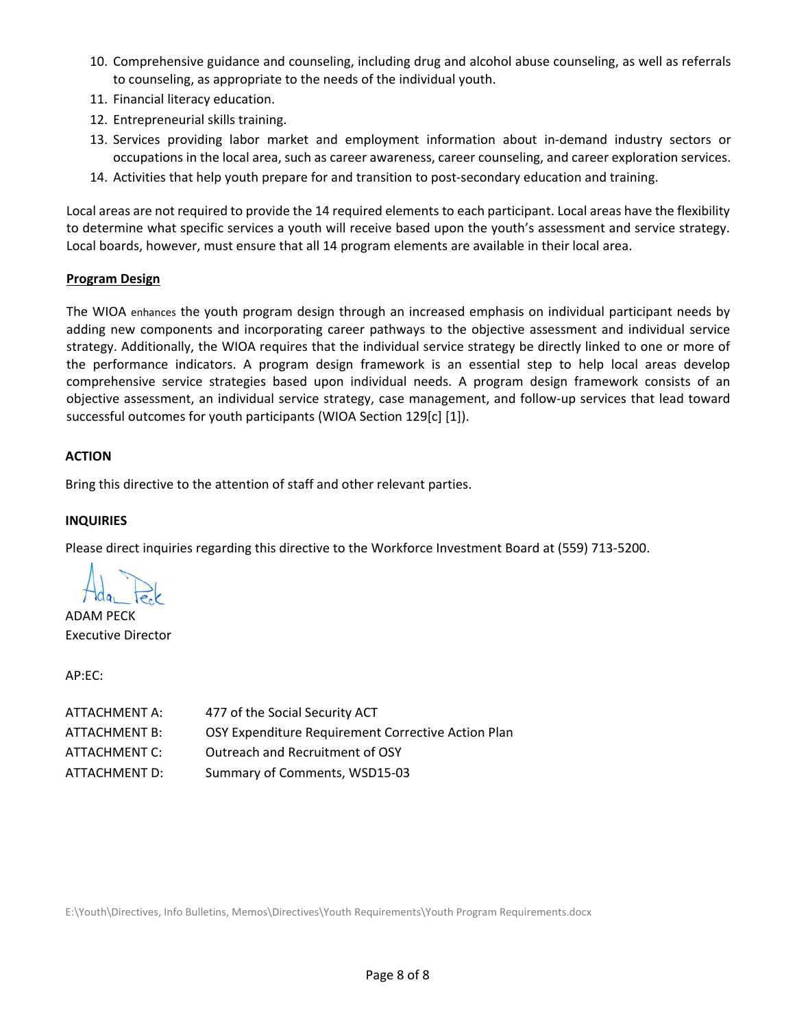- 10. Comprehensive guidance and counseling, including drug and alcohol abuse counseling, as well as referrals to counseling, as appropriate to the needs of the individual youth.
- 11. Financial literacy education.
- 12. Entrepreneurial skills training.
- 13. Services providing labor market and employment information about in‐demand industry sectors or occupations in the local area, such as career awareness, career counseling, and career exploration services.
- 14. Activities that help youth prepare for and transition to post-secondary education and training.

Local areas are not required to provide the 14 required elements to each participant. Local areas have the flexibility to determine what specific services a youth will receive based upon the youth's assessment and service strategy. Local boards, however, must ensure that all 14 program elements are available in their local area.

#### **Program Design**

The WIOA enhances the youth program design through an increased emphasis on individual participant needs by adding new components and incorporating career pathways to the objective assessment and individual service strategy. Additionally, the WIOA requires that the individual service strategy be directly linked to one or more of the performance indicators. A program design framework is an essential step to help local areas develop comprehensive service strategies based upon individual needs. A program design framework consists of an objective assessment, an individual service strategy, case management, and follow‐up services that lead toward successful outcomes for youth participants (WIOA Section 129[c] [1]).

#### **ACTION**

Bring this directive to the attention of staff and other relevant parties.

#### **INQUIRIES**

Please direct inquiries regarding this directive to the Workforce Investment Board at (559) 713‐5200.

ADAM PECK Executive Director

AP:EC:

| ATTACHMENT A: | 477 of the Social Security ACT                     |
|---------------|----------------------------------------------------|
| ATTACHMENT B: | OSY Expenditure Requirement Corrective Action Plan |
| ATTACHMENT C: | Outreach and Recruitment of OSY                    |
| ATTACHMENT D: | Summary of Comments, WSD15-03                      |

E:\Youth\Directives, Info Bulletins, Memos\Directives\Youth Requirements\Youth Program Requirements.docx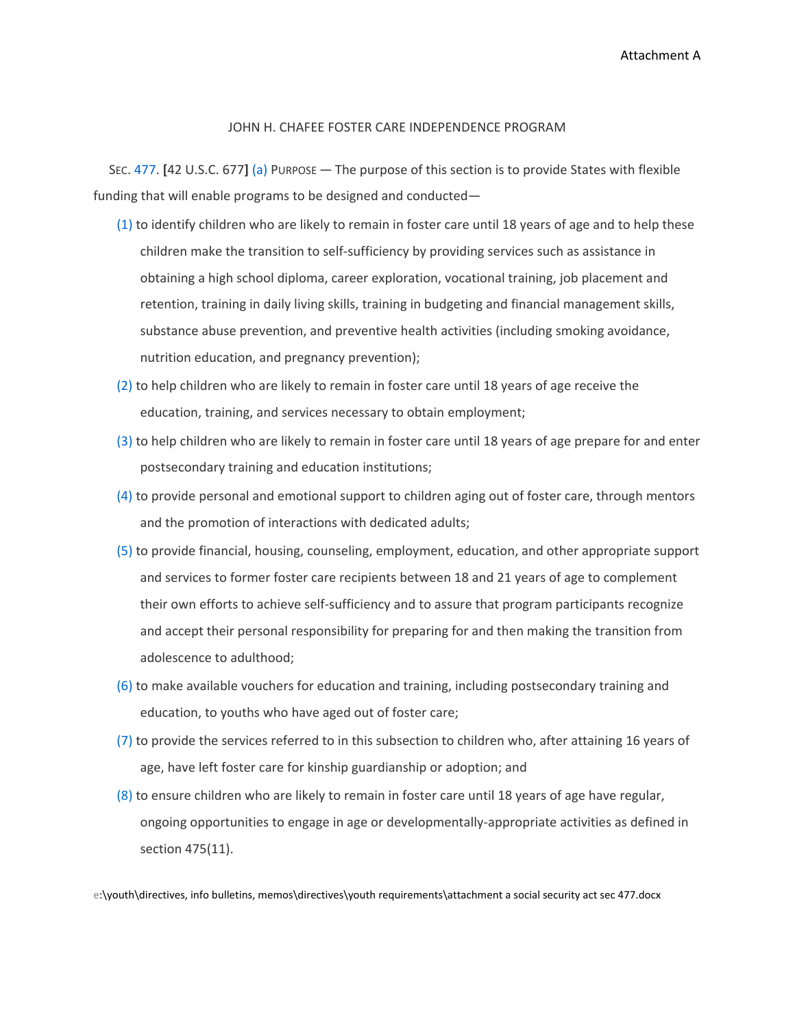Attachment A

#### JOHN H. CHAFEE FOSTER CARE INDEPENDENCE PROGRAM

SEC. 477. **[**42 U.S.C. 677**]** (a) PURPOSE — The purpose of this section is to provide States with flexible funding that will enable programs to be designed and conducted—

- (1) to identify children who are likely to remain in foster care until 18 years of age and to help these children make the transition to self‐sufficiency by providing services such as assistance in obtaining a high school diploma, career exploration, vocational training, job placement and retention, training in daily living skills, training in budgeting and financial management skills, substance abuse prevention, and preventive health activities (including smoking avoidance, nutrition education, and pregnancy prevention);
- (2) to help children who are likely to remain in foster care until 18 years of age receive the education, training, and services necessary to obtain employment;
- (3) to help children who are likely to remain in foster care until 18 years of age prepare for and enter postsecondary training and education institutions;
- (4) to provide personal and emotional support to children aging out of foster care, through mentors and the promotion of interactions with dedicated adults;
- (5) to provide financial, housing, counseling, employment, education, and other appropriate support and services to former foster care recipients between 18 and 21 years of age to complement their own efforts to achieve self‐sufficiency and to assure that program participants recognize and accept their personal responsibility for preparing for and then making the transition from adolescence to adulthood;
- (6) to make available vouchers for education and training, including postsecondary training and education, to youths who have aged out of foster care;
- (7) to provide the services referred to in this subsection to children who, after attaining 16 years of age, have left foster care for kinship guardianship or adoption; and
- (8) to ensure children who are likely to remain in foster care until 18 years of age have regular, ongoing opportunities to engage in age or developmentally‐appropriate activities as defined in section 475(11).

e:\youth\directives, info bulletins, memos\directives\youth requirements\attachment a social security act sec 477.docx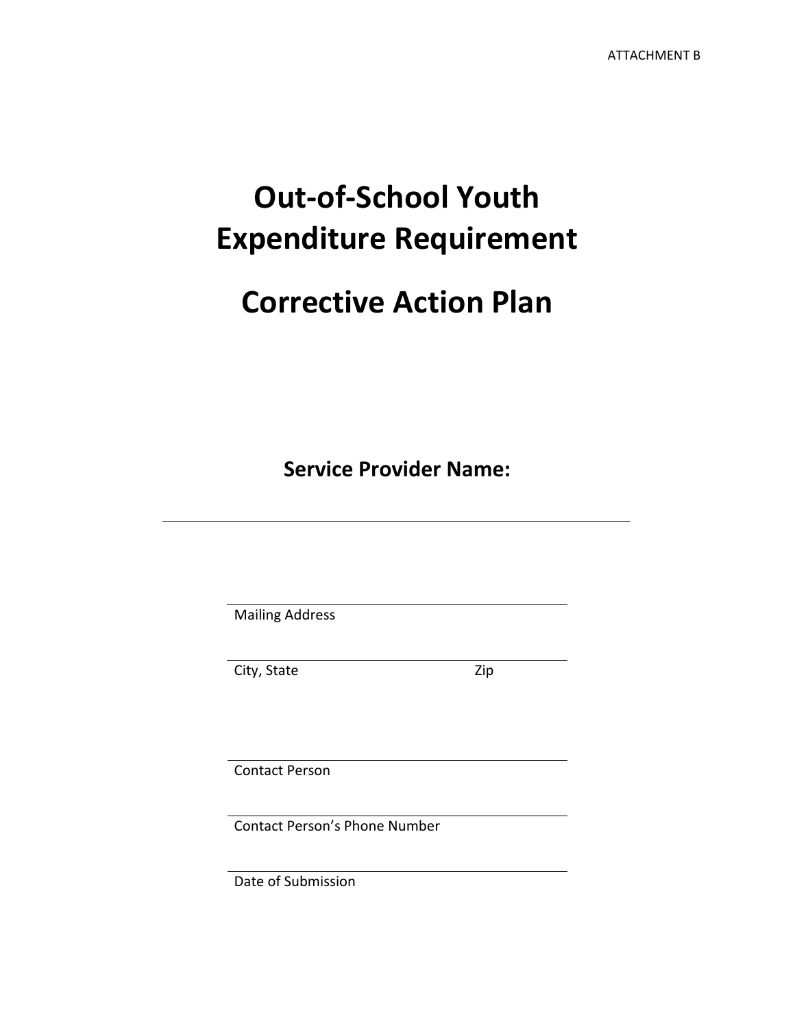# **Out‐of‐School Youth Expenditure Requirement**

# **Corrective Action Plan**

**Service Provider Name:**

Mailing Address

City, State Zip

Contact Person

Contact Person's Phone Number

Date of Submission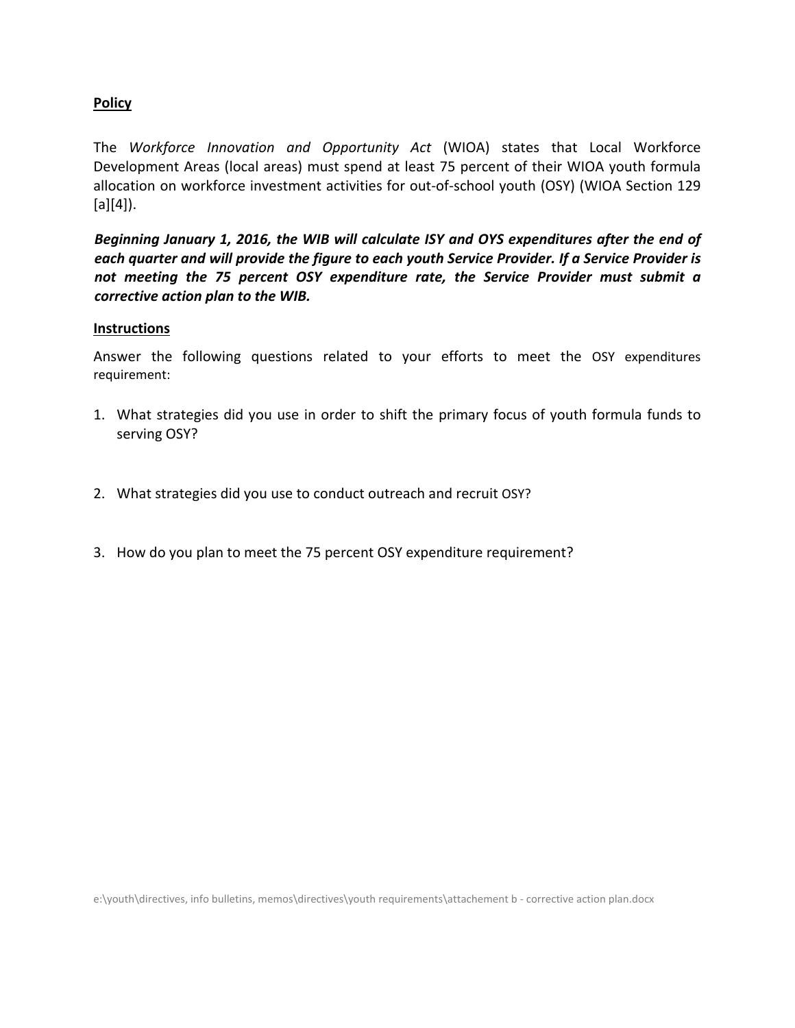## **Policy**

The *Workforce Innovation and Opportunity Act* (WIOA) states that Local Workforce Development Areas (local areas) must spend at least 75 percent of their WIOA youth formula allocation on workforce investment activities for out‐of‐school youth (OSY) (WIOA Section 129  $[a][4]$ ).

*Beginning January 1, 2016, the WIB will calculate ISY and OYS expenditures after the end of each quarter and will provide the figure to each youth Service Provider. If a Service Provider is not meeting the 75 percent OSY expenditure rate, the Service Provider must submit a corrective action plan to the WIB.*

#### **Instructions**

Answer the following questions related to your efforts to meet the OSY expenditures requirement:

- 1. What strategies did you use in order to shift the primary focus of youth formula funds to serving OSY?
- 2. What strategies did you use to conduct outreach and recruit OSY?
- 3. How do you plan to meet the 75 percent OSY expenditure requirement?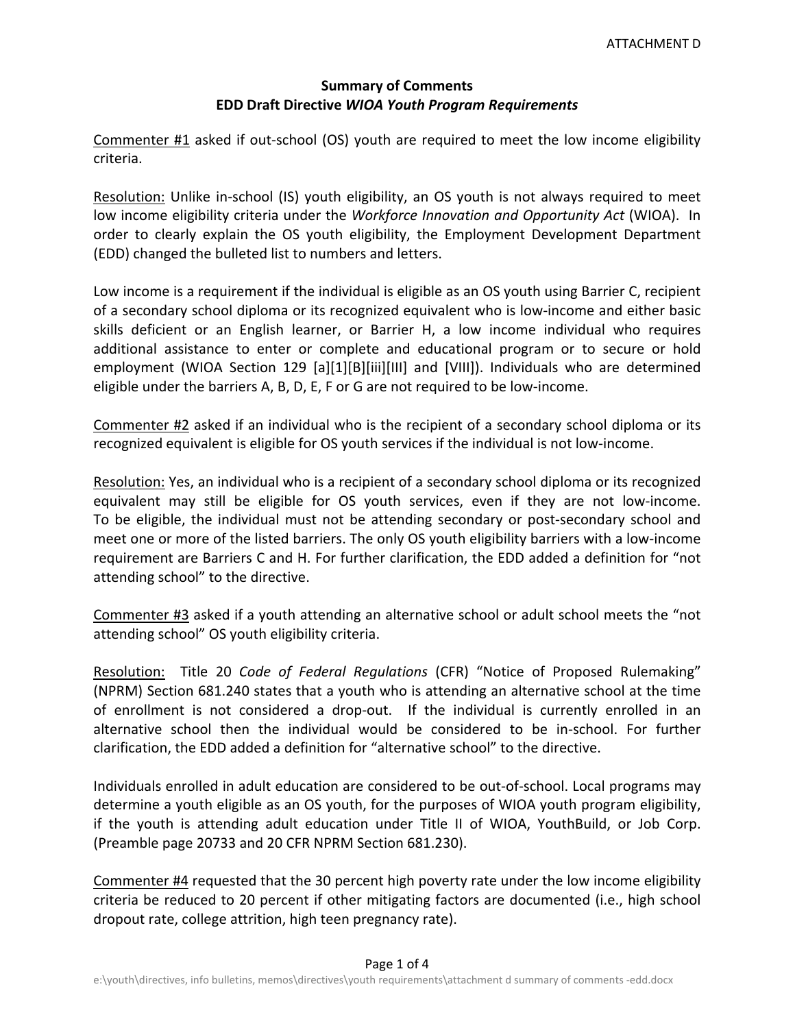## **Summary of Comments EDD Draft Directive** *WIOA Youth Program Requirements*

Commenter #1 asked if out‐school (OS) youth are required to meet the low income eligibility criteria.

Resolution: Unlike in-school (IS) youth eligibility, an OS youth is not always required to meet low income eligibility criteria under the *Workforce Innovation and Opportunity Act* (WIOA). In order to clearly explain the OS youth eligibility, the Employment Development Department (EDD) changed the bulleted list to numbers and letters.

Low income is a requirement if the individual is eligible as an OS youth using Barrier C, recipient of a secondary school diploma or its recognized equivalent who is low‐income and either basic skills deficient or an English learner, or Barrier H, a low income individual who requires additional assistance to enter or complete and educational program or to secure or hold employment (WIOA Section 129 [a][1][B][iii][III] and [VIII]). Individuals who are determined eligible under the barriers A, B, D, E, F or G are not required to be low-income.

Commenter #2 asked if an individual who is the recipient of a secondary school diploma or its recognized equivalent is eligible for OS youth services if the individual is not low-income.

Resolution: Yes, an individual who is a recipient of a secondary school diploma or its recognized equivalent may still be eligible for OS youth services, even if they are not low-income. To be eligible, the individual must not be attending secondary or post‐secondary school and meet one or more of the listed barriers. The only OS youth eligibility barriers with a low-income requirement are Barriers C and H. For further clarification, the EDD added a definition for "not attending school" to the directive.

Commenter #3 asked if a youth attending an alternative school or adult school meets the "not attending school" OS youth eligibility criteria.

Resolution: Title 20 *Code of Federal Regulations* (CFR) "Notice of Proposed Rulemaking" (NPRM) Section 681.240 states that a youth who is attending an alternative school at the time of enrollment is not considered a drop-out. If the individual is currently enrolled in an alternative school then the individual would be considered to be in‐school. For further clarification, the EDD added a definition for "alternative school" to the directive.

Individuals enrolled in adult education are considered to be out‐of‐school. Local programs may determine a youth eligible as an OS youth, for the purposes of WIOA youth program eligibility, if the youth is attending adult education under Title II of WIOA, YouthBuild, or Job Corp. (Preamble page 20733 and 20 CFR NPRM Section 681.230).

Commenter #4 requested that the 30 percent high poverty rate under the low income eligibility criteria be reduced to 20 percent if other mitigating factors are documented (i.e., high school dropout rate, college attrition, high teen pregnancy rate).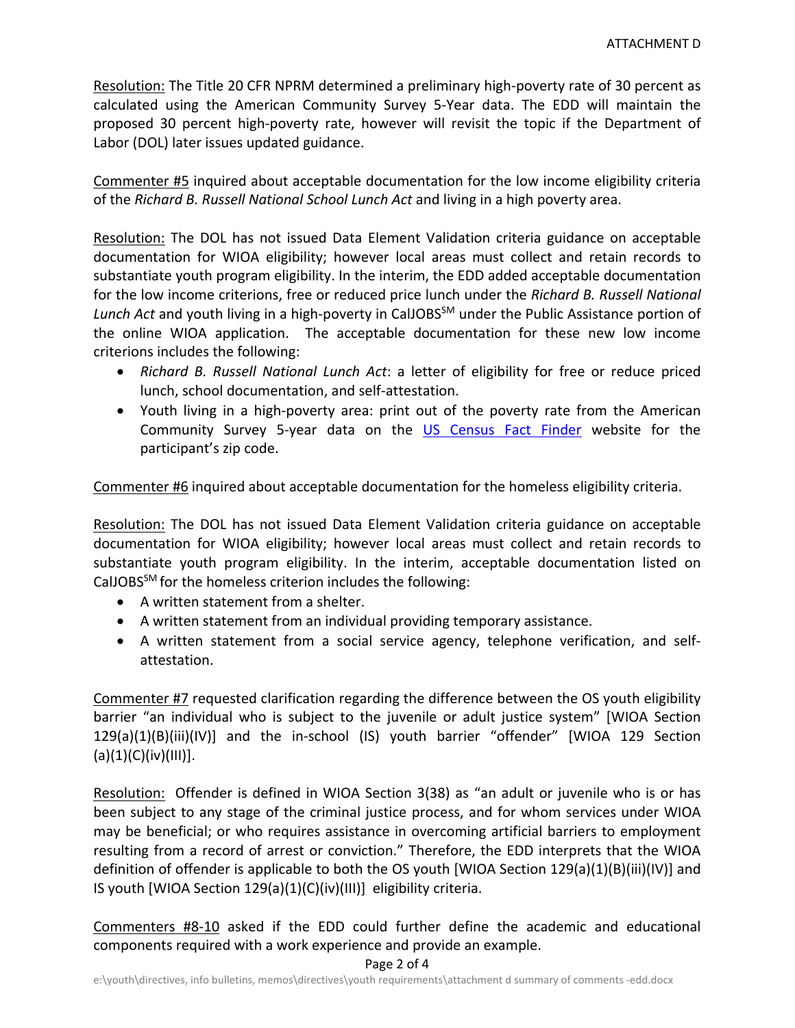Resolution: The Title 20 CFR NPRM determined a preliminary high‐poverty rate of 30 percent as calculated using the American Community Survey 5‐Year data. The EDD will maintain the proposed 30 percent high-poverty rate, however will revisit the topic if the Department of Labor (DOL) later issues updated guidance.

Commenter #5 inquired about acceptable documentation for the low income eligibility criteria of the *Richard B. Russell National School Lunch Act* and living in a high poverty area.

Resolution: The DOL has not issued Data Element Validation criteria guidance on acceptable documentation for WIOA eligibility; however local areas must collect and retain records to substantiate youth program eligibility. In the interim, the EDD added acceptable documentation for the low income criterions, free or reduced price lunch under the *Richard B. Russell National Lunch Act* and youth living in a high‐poverty in CalJOBSSM under the Public Assistance portion of the online WIOA application. The acceptable documentation for these new low income criterions includes the following:

- *Richard B. Russell National Lunch Act*: a letter of eligibility for free or reduce priced lunch, school documentation, and self‐attestation.
- Youth living in a high-poverty area: print out of the poverty rate from the American Community Survey 5‐year data on the US Census Fact Finder website for the participant's zip code.

Commenter #6 inquired about acceptable documentation for the homeless eligibility criteria.

Resolution: The DOL has not issued Data Element Validation criteria guidance on acceptable documentation for WIOA eligibility; however local areas must collect and retain records to substantiate youth program eligibility. In the interim, acceptable documentation listed on CalJOBSSM for the homeless criterion includes the following:

- A written statement from a shelter.
- A written statement from an individual providing temporary assistance.
- A written statement from a social service agency, telephone verification, and self‐ attestation.

Commenter #7 requested clarification regarding the difference between the OS youth eligibility barrier "an individual who is subject to the juvenile or adult justice system" [WIOA Section 129(a)(1)(B)(iii)(IV)] and the in‐school (IS) youth barrier "offender" [WIOA 129 Section  $(a)(1)(C)(iv)(III)].$ 

Resolution: Offender is defined in WIOA Section 3(38) as "an adult or juvenile who is or has been subject to any stage of the criminal justice process, and for whom services under WIOA may be beneficial; or who requires assistance in overcoming artificial barriers to employment resulting from a record of arrest or conviction." Therefore, the EDD interprets that the WIOA definition of offender is applicable to both the OS youth [WIOA Section 129(a)(1)(B)(iii)(IV)] and IS youth [WIOA Section 129(a)(1)(C)(iv)(III)] eligibility criteria.

Commenters #8‐10 asked if the EDD could further define the academic and educational components required with a work experience and provide an example.

#### Page 2 of 4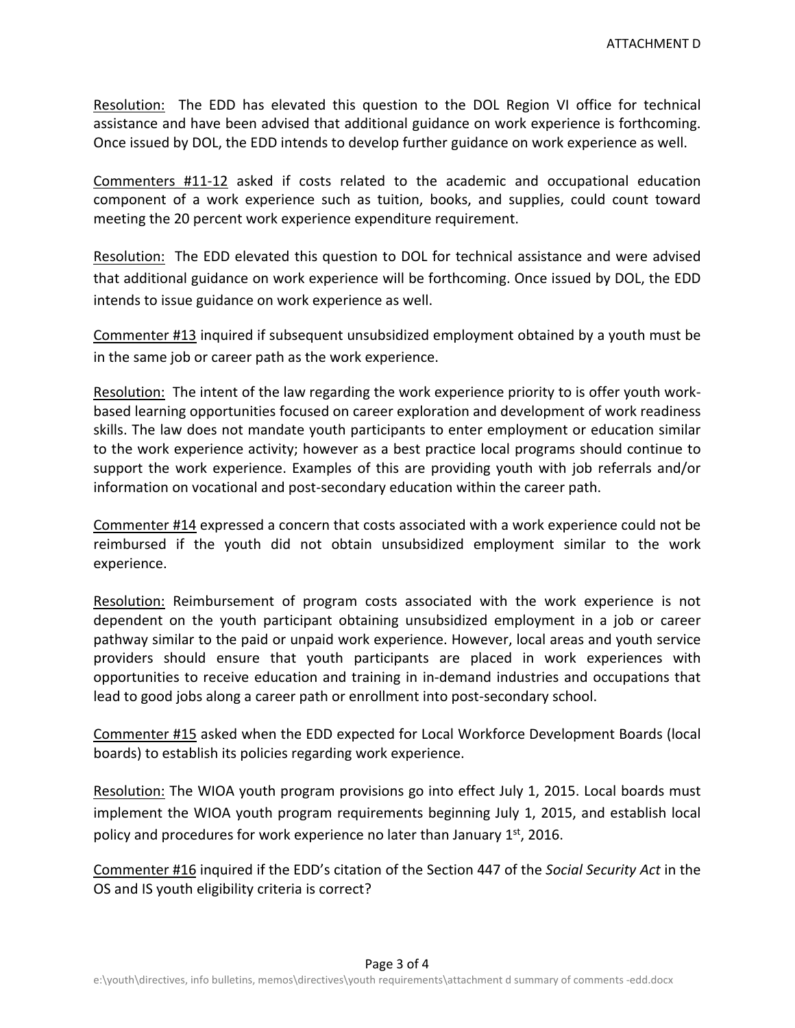Resolution: The EDD has elevated this question to the DOL Region VI office for technical assistance and have been advised that additional guidance on work experience is forthcoming. Once issued by DOL, the EDD intends to develop further guidance on work experience as well.

Commenters #11‐12 asked if costs related to the academic and occupational education component of a work experience such as tuition, books, and supplies, could count toward meeting the 20 percent work experience expenditure requirement.

Resolution: The EDD elevated this question to DOL for technical assistance and were advised that additional guidance on work experience will be forthcoming. Once issued by DOL, the EDD intends to issue guidance on work experience as well.

Commenter #13 inquired if subsequent unsubsidized employment obtained by a youth must be in the same job or career path as the work experience.

Resolution: The intent of the law regarding the work experience priority to is offer youth workbased learning opportunities focused on career exploration and development of work readiness skills. The law does not mandate youth participants to enter employment or education similar to the work experience activity; however as a best practice local programs should continue to support the work experience. Examples of this are providing youth with job referrals and/or information on vocational and post‐secondary education within the career path.

Commenter #14 expressed a concern that costs associated with a work experience could not be reimbursed if the youth did not obtain unsubsidized employment similar to the work experience.

Resolution: Reimbursement of program costs associated with the work experience is not dependent on the youth participant obtaining unsubsidized employment in a job or career pathway similar to the paid or unpaid work experience. However, local areas and youth service providers should ensure that youth participants are placed in work experiences with opportunities to receive education and training in in‐demand industries and occupations that lead to good jobs along a career path or enrollment into post‐secondary school.

Commenter #15 asked when the EDD expected for Local Workforce Development Boards (local boards) to establish its policies regarding work experience.

Resolution: The WIOA youth program provisions go into effect July 1, 2015. Local boards must implement the WIOA youth program requirements beginning July 1, 2015, and establish local policy and procedures for work experience no later than January  $1<sup>st</sup>$ , 2016.

Commenter #16 inquired if the EDD's citation of the Section 447 of the *Social Security Act* in the OS and IS youth eligibility criteria is correct?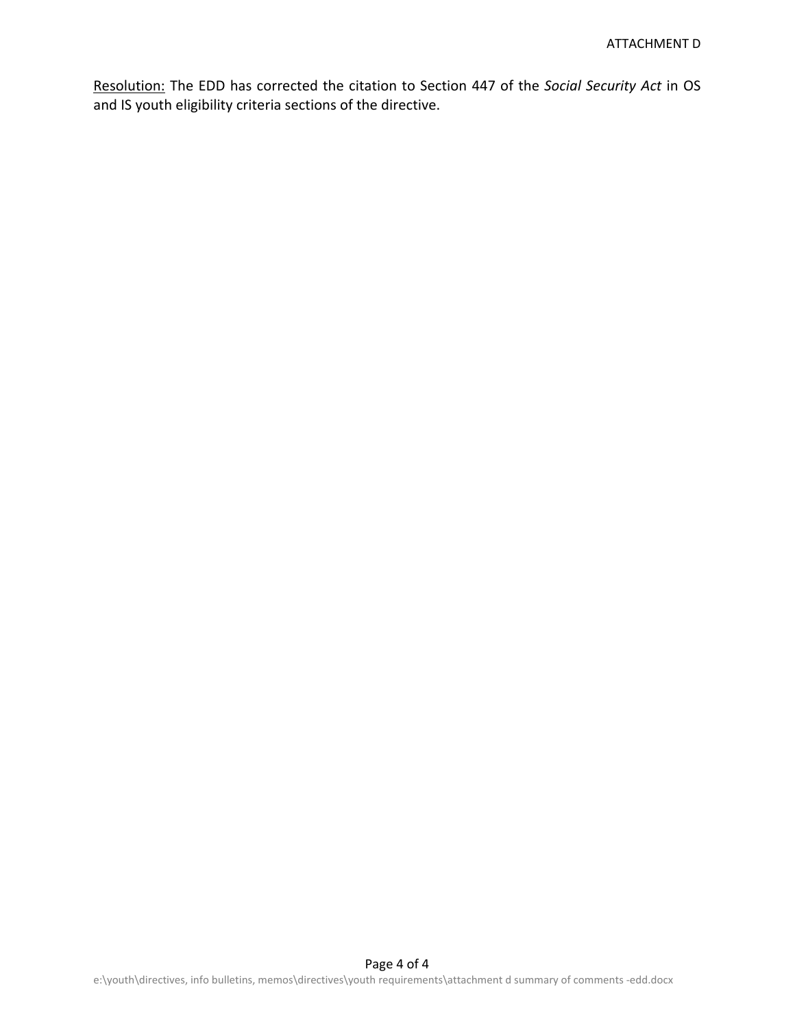Resolution: The EDD has corrected the citation to Section 447 of the *Social Security Act* in OS and IS youth eligibility criteria sections of the directive.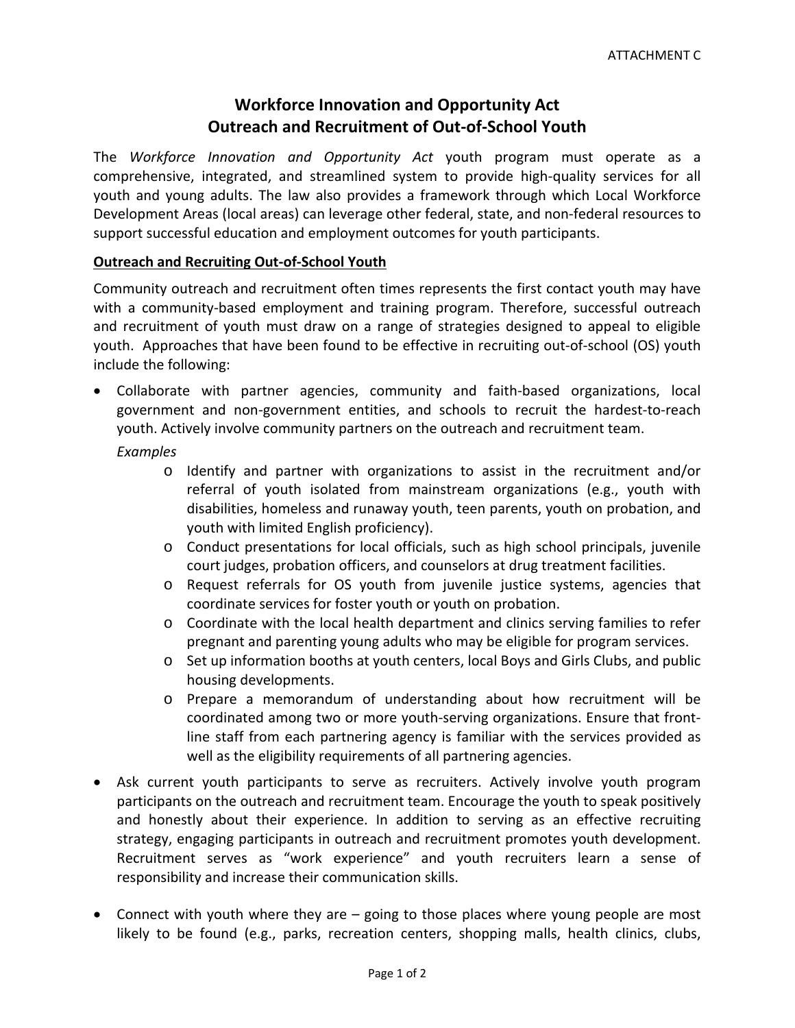# **Workforce Innovation and Opportunity Act Outreach and Recruitment of Out‐of‐School Youth**

The *Workforce Innovation and Opportunity Act* youth program must operate as a comprehensive, integrated, and streamlined system to provide high‐quality services for all youth and young adults. The law also provides a framework through which Local Workforce Development Areas (local areas) can leverage other federal, state, and non‐federal resources to support successful education and employment outcomes for youth participants.

#### **Outreach and Recruiting Out‐of‐School Youth**

Community outreach and recruitment often times represents the first contact youth may have with a community-based employment and training program. Therefore, successful outreach and recruitment of youth must draw on a range of strategies designed to appeal to eligible youth. Approaches that have been found to be effective in recruiting out‐of‐school (OS) youth include the following:

- Collaborate with partner agencies, community and faith‐based organizations, local government and non‐government entities, and schools to recruit the hardest‐to‐reach youth. Actively involve community partners on the outreach and recruitment team.
	- *Examples*
		- o Identify and partner with organizations to assist in the recruitment and/or referral of youth isolated from mainstream organizations (e.g., youth with disabilities, homeless and runaway youth, teen parents, youth on probation, and youth with limited English proficiency).
		- o Conduct presentations for local officials, such as high school principals, juvenile court judges, probation officers, and counselors at drug treatment facilities.
		- o Request referrals for OS youth from juvenile justice systems, agencies that coordinate services for foster youth or youth on probation.
		- o Coordinate with the local health department and clinics serving families to refer pregnant and parenting young adults who may be eligible for program services.
		- o Set up information booths at youth centers, local Boys and Girls Clubs, and public housing developments.
		- o Prepare a memorandum of understanding about how recruitment will be coordinated among two or more youth‐serving organizations. Ensure that front‐ line staff from each partnering agency is familiar with the services provided as well as the eligibility requirements of all partnering agencies.
- Ask current youth participants to serve as recruiters. Actively involve youth program participants on the outreach and recruitment team. Encourage the youth to speak positively and honestly about their experience. In addition to serving as an effective recruiting strategy, engaging participants in outreach and recruitment promotes youth development. Recruitment serves as "work experience" and youth recruiters learn a sense of responsibility and increase their communication skills.
- Connect with youth where they are going to those places where young people are most likely to be found (e.g., parks, recreation centers, shopping malls, health clinics, clubs,